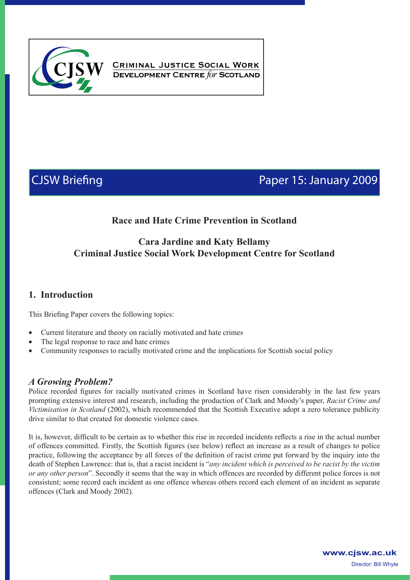

CRIMINAL JUSTICE SOCIAL WORK **DEVELOPMENT CENTRE for SCOTLAND** 

# CJSW Briefing **Paper 15: January 2009**

## **Race and Hate Crime Prevention in Scotland**

### **Cara Jardine and Katy Bellamy Criminal Justice Social Work Development Centre for Scotland**

### **1. Introduction**

This Briefing Paper covers the following topics:

- Current literature and theory on racially motivated and hate crimes
- The legal response to race and hate crimes
- Community responses to racially motivated crime and the implications for Scottish social policy

### *A Growing Problem?*

Police recorded figures for racially motivated crimes in Scotland have risen considerably in the last few years prompting extensive interest and research, including the production of Clark and Moody's paper, *Racist Crime and Victimisation in Scotland* (2002), which recommended that the Scottish Executive adopt a zero tolerance publicity drive similar to that created for domestic violence cases.

It is, however, difficult to be certain as to whether this rise in recorded incidents reflects a rise in the actual number of offences committed. Firstly, the Scottish figures (see below) reflect an increase as a result of changes to police practice, following the acceptance by all forces of the definition of racist crime put forward by the inquiry into the death of Stephen Lawrence: that is, that a racist incident is "*any incident which is perceived to be racist by the victim or any other person*". Secondly it seems that the way in which offences are recorded by different police forces is not consistent; some record each incident as one offence whereas others record each element of an incident as separate offences (Clark and Moody 2002).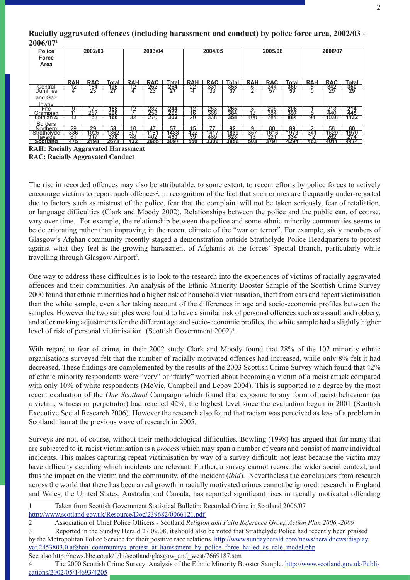| <b>Police</b><br>Force<br>Area | 2002/03    |            |       | 2003/04    |                   |                   | 2004/05    |            |                   | 2005/06    |            |                   | 2006/07         |            |       |
|--------------------------------|------------|------------|-------|------------|-------------------|-------------------|------------|------------|-------------------|------------|------------|-------------------|-----------------|------------|-------|
|                                | <b>RAH</b> | <b>RAC</b> | Total | <b>RAH</b> | <b>RAC</b>        | Гоtаl             | <b>RAH</b> | <b>RAC</b> | Total             | <b>RAH</b> | <b>RAC</b> | Total             | <b>RAH</b>      | <b>RAC</b> | Total |
| Central                        | ィつ         | '84        | 196   | イワ         | 252               | 264               | 22         | 33         | 353               |            | 344        | 350               | 8               | 342        | 350   |
| <b>Dumfries</b>                |            | 23         | 27    | 4          | 23                | 27                | 4          | 33         | 37                | $\sqrt{2}$ | 57         | 59                |                 | 29         | 29    |
| and Gal-                       |            |            |       |            |                   |                   |            |            |                   |            |            |                   |                 |            |       |
| <u>loway</u><br>Fife           |            |            |       |            |                   |                   |            |            |                   |            |            |                   |                 |            |       |
|                                |            | 79         | 188   | 12         | 232               | 244               | 12         | 253        | 265               |            | 205        | 208               |                 | 213        | 214   |
| Grampian                       |            | 287        | 298   |            | $\frac{258}{270}$ | $\frac{265}{302}$ | 16         | 368        | $\frac{384}{358}$ | 13         | 384        | $\frac{397}{884}$ |                 | 440        | 445   |
| Lothian &                      | 13         | 153        | 166   | 32         |                   |                   | 20         | 338        |                   | 100        | 784        |                   | 94              | 1038       | 1132  |
| <b>Borders</b>                 |            |            |       |            |                   |                   |            |            |                   |            |            |                   |                 |            |       |
| <b>Northern</b>                | 29         | 29         | 58    | 10         | 47                | 57                | 15         |            | 92                | g          | 80         | 89                |                 | 58         | 60    |
| Strathclyde                    | 336        | 1026       | 1362  | 30.        | 1181              | 1488              | 422        | 141        | 1839              | 357        | 1616       | 1973              | 34 <sup>1</sup> | 1629       | 1970  |
| Tavside                        | 61         | 31         | 378   | 48         | 402               | 450               | 39         | 489        | 528               | 13         | 32         | 334               | 10              | 262        | 274   |
| <b>Scotland</b>                | 475        | 2198       | 2673  | 432        | 2665              | 3097              | 550        | 3306       | 3856              | 503        | 3791       | 4294              | 463             | 4011       | 4474  |

### **Racially aggravated offences (including harassment and conduct) by police force area, 2002/03 - 2006/071**

**RAH: Racially Aggravated Harassment RAC: Racially Aggravated Conduct**

The rise in recorded offences may also be attributable, to some extent, to recent efforts by police forces to actively encourage victims to report such offences<sup>2</sup>, in recognition of the fact that such crimes are frequently under-reported due to factors such as mistrust of the police, fear that the complaint will not be taken seriously, fear of retaliation, or language difficulties (Clark and Moody 2002). Relationships between the police and the public can, of course, vary over time. For example, the relationship between the police and some ethnic minority communities seems to be deteriorating rather than improving in the recent climate of the "war on terror". For example, sixty members of Glasgow's Afghan community recently staged a demonstration outside Strathclyde Police Headquarters to protest against what they feel is the growing harassment of Afghanis at the forces' Special Branch, particularly while travelling through Glasgow Airport<sup>3</sup>.

One way to address these difficulties is to look to the research into the experiences of victims of racially aggravated offences and their communities. An analysis of the Ethnic Minority Booster Sample of the Scottish Crime Survey 2000 found that ethnic minorities had a higher risk of household victimisation, theft from cars and repeat victimisation than the white sample, even after taking account of the differences in age and socio-economic profiles between the samples. However the two samples were found to have a similar risk of personal offences such as assault and robbery, and after making adjustments for the different age and socio-economic profiles, the white sample had a slightly higher level of risk of personal victimisation. (Scottish Government 2002)<sup>4</sup>.

With regard to fear of crime, in their 2002 study Clark and Moody found that 28% of the 102 minority ethnic organisations surveyed felt that the number of racially motivated offences had increased, while only 8% felt it had decreased. These findings are complemented by the results of the 2003 Scottish Crime Survey which found that 42% of ethnic minority respondents were "very" or "fairly" worried about becoming a victim of a racist attack compared with only 10% of white respondents (McVie, Campbell and Lebov 2004). This is supported to a degree by the most recent evaluation of the *One Scotland* Campaign which found that exposure to any form of racist behaviour (as a victim, witness or perpetrator) had reached 42%, the highest level since the evaluation began in 2001 (Scottish Executive Social Research 2006). However the research also found that racism was perceived as less of a problem in Scotland than at the previous wave of research in 2005.

Surveys are not, of course, without their methodological difficulties. Bowling (1998) has argued that for many that are subjected to it, racist victimisation is a *process* which may span a number of years and consist of many individual incidents. This makes capturing repeat victimisation by way of a survey difficult; not least because the victim may have difficulty deciding which incidents are relevant. Further, a survey cannot record the wider social context, and thus the impact on the victim and the community, of the incident (*ibid*). Nevertheless the conclusions from research across the world that there has been a real growth in racially motivated crimes cannot be ignored: research in England and Wales, the United States, Australia and Canada, has reported significant rises in racially motivated offending

1 Taken from Scottish Government Statistical Bulletin: Recorded Crime in Scotland 2006/07 http://www.scotland.gov.uk/Resource/Doc/239682/0066121.pdf

3 Reported in the Sunday Herald 27.09.08, it should also be noted that Strathclyde Police had recently been praised by the Metropolitan Police Service for their positive race relations. http://www.sundayherald.com/news/heraldnews/display. var.2453803.0.afghan\_communitys\_protest\_at\_harassment\_by\_police\_force\_hailed\_as\_role\_model.php See also http://news.bbc.co.uk/1/hi/scotland/glasgow\_and\_west/7669187.stm

4 The 2000 Scottish Crime Survey: Analysis of the Ethnic Minority Booster Sample. http://www.scotland.gov.uk/Publications/2002/05/14693/4205

<sup>2</sup> Association of Chief Police Officers - Scotland *Religion and Faith Reference Group Action Plan 2006 -2009*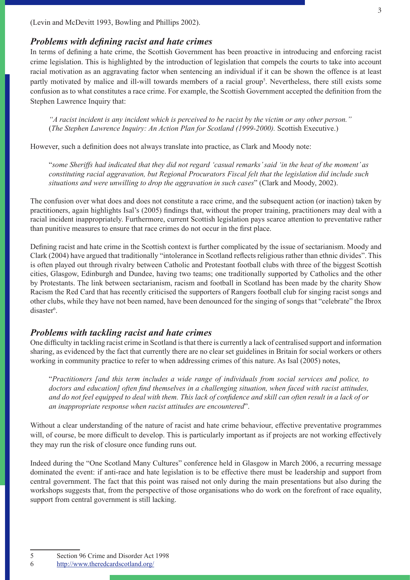(Levin and McDevitt 1993, Bowling and Phillips 2002).

#### *Problems with defining racist and hate crimes*

In terms of defining a hate crime, the Scottish Government has been proactive in introducing and enforcing racist crime legislation. This is highlighted by the introduction of legislation that compels the courts to take into account racial motivation as an aggravating factor when sentencing an individual if it can be shown the offence is at least partly motivated by malice and ill-will towards members of a racial group<sup>5</sup>. Nevertheless, there still exists some confusion as to what constitutes a race crime. For example, the Scottish Government accepted the definition from the Stephen Lawrence Inquiry that:

*"A racist incident is any incident which is perceived to be racist by the victim or any other person."*  (*The Stephen Lawrence Inquiry: An Action Plan for Scotland (1999-2000).* Scottish Executive.)

However, such a definition does not always translate into practice, as Clark and Moody note:

"*some Sheriffs had indicated that they did not regard 'casual remarks' said 'in the heat of the moment' as constituting racial aggravation, but Regional Procurators Fiscal felt that the legislation did include such situations and were unwilling to drop the aggravation in such cases*" (Clark and Moody, 2002).

The confusion over what does and does not constitute a race crime, and the subsequent action (or inaction) taken by practitioners, again highlights Isal's (2005) findings that, without the proper training, practitioners may deal with a racial incident inappropriately. Furthermore, current Scottish legislation pays scarce attention to preventative rather than punitive measures to ensure that race crimes do not occur in the first place.

Defining racist and hate crime in the Scottish context is further complicated by the issue of sectarianism. Moody and Clark (2004) have argued that traditionally "intolerance in Scotland reflects religious rather than ethnic divides". This is often played out through rivalry between Catholic and Protestant football clubs with three of the biggest Scottish cities, Glasgow, Edinburgh and Dundee, having two teams; one traditionally supported by Catholics and the other by Protestants. The link between sectarianism, racism and football in Scotland has been made by the charity Show Racism the Red Card that has recently criticised the supporters of Rangers football club for singing racist songs and other clubs, while they have not been named, have been denounced for the singing of songs that "celebrate" the Ibrox disaster<sup>6</sup>.

#### *Problems with tackling racist and hate crimes*

One difficulty in tackling racist crime in Scotland is that there is currently a lack of centralised support and information sharing, as evidenced by the fact that currently there are no clear set guidelines in Britain for social workers or others working in community practice to refer to when addressing crimes of this nature. As Isal (2005) notes,

"*Practitioners [and this term includes a wide range of individuals from social services and police, to doctors and education] often find themselves in a challenging situation, when faced with racist attitudes, and do not feel equipped to deal with them. This lack of confidence and skill can often result in a lack of or an inappropriate response when racist attitudes are encountered*".

Without a clear understanding of the nature of racist and hate crime behaviour, effective preventative programmes will, of course, be more difficult to develop. This is particularly important as if projects are not working effectively they may run the risk of closure once funding runs out.

Indeed during the "One Scotland Many Cultures" conference held in Glasgow in March 2006, a recurring message dominated the event: if anti-race and hate legislation is to be effective there must be leadership and support from central government. The fact that this point was raised not only during the main presentations but also during the workshops suggests that, from the perspective of those organisations who do work on the forefront of race equality, support from central government is still lacking.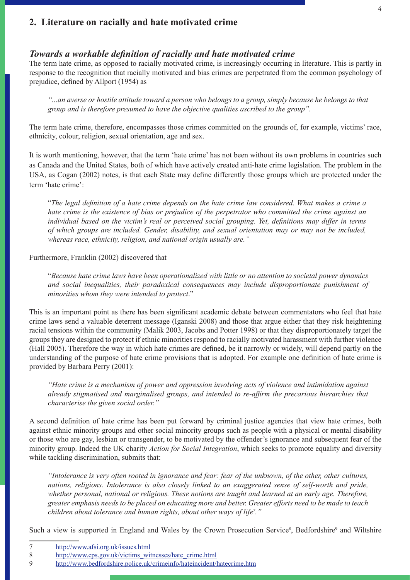### **2. Literature on racially and hate motivated crime**

### *Towards a workable definition of racially and hate motivated crime*

The term hate crime, as opposed to racially motivated crime, is increasingly occurring in literature. This is partly in response to the recognition that racially motivated and bias crimes are perpetrated from the common psychology of prejudice, defined by Allport (1954) as

*"...an averse or hostile attitude toward a person who belongs to a group, simply because he belongs to that group and is therefore presumed to have the objective qualities ascribed to the group".* 

The term hate crime, therefore, encompasses those crimes committed on the grounds of, for example, victims' race, ethnicity, colour, religion, sexual orientation, age and sex.

It is worth mentioning, however, that the term 'hate crime' has not been without its own problems in countries such as Canada and the United States, both of which have actively created anti-hate crime legislation. The problem in the USA, as Cogan (2002) notes, is that each State may define differently those groups which are protected under the term 'hate crime':

"*The legal definition of a hate crime depends on the hate crime law considered. What makes a crime a hate crime is the existence of bias or prejudice of the perpetrator who committed the crime against an individual based on the victim's real or perceived social grouping. Yet, definitions may differ in terms of which groups are included. Gender, disability, and sexual orientation may or may not be included, whereas race, ethnicity, religion, and national origin usually are."*

#### Furthermore, Franklin (2002) discovered that

"*Because hate crime laws have been operationalized with little or no attention to societal power dynamics and social inequalities, their paradoxical consequences may include disproportionate punishment of minorities whom they were intended to protect*."

This is an important point as there has been significant academic debate between commentators who feel that hate crime laws send a valuable deterrent message (Iganski 2008) and those that argue either that they risk heightening racial tensions within the community (Malik 2003, Jacobs and Potter 1998) or that they disproportionately target the groups they are designed to protect if ethnic minorities respond to racially motivated harassment with further violence (Hall 2005). Therefore the way in which hate crimes are defined, be it narrowly or widely, will depend partly on the understanding of the purpose of hate crime provisions that is adopted. For example one definition of hate crime is provided by Barbara Perry (2001):

*"Hate crime is a mechanism of power and oppression involving acts of violence and intimidation against already stigmatised and marginalised groups, and intended to re-affirm the precarious hierarchies that characterise the given social order."*

A second definition of hate crime has been put forward by criminal justice agencies that view hate crimes, both against ethnic minority groups and other social minority groups such as people with a physical or mental disability or those who are gay, lesbian or transgender, to be motivated by the offender's ignorance and subsequent fear of the minority group. Indeed the UK charity *Action for Social Integration*, which seeks to promote equality and diversity while tackling discrimination, submits that:

*"Intolerance is very often rooted in ignorance and fear: fear of the unknown, of the other, other cultures, nations, religions. Intolerance is also closely linked to an exaggerated sense of self-worth and pride, whether personal, national or religious. These notions are taught and learned at an early age. Therefore, greater emphasis needs to be placed on educating more and better. Greater efforts need to be made to teach children about tolerance and human rights, about other ways of life7 ."*

Such a view is supported in England and Wales by the Crown Prosecution Service<sup>8</sup>, Bedfordshire<sup>9</sup> and Wiltshire

<sup>7</sup> http://www.afsi.org.uk/issues.html

<sup>8</sup> http://www.cps.gov.uk/victims\_witnesses/hate\_crime.html

<sup>9</sup> http://www.bedfordshire.police.uk/crimeinfo/hateincident/hatecrime.htm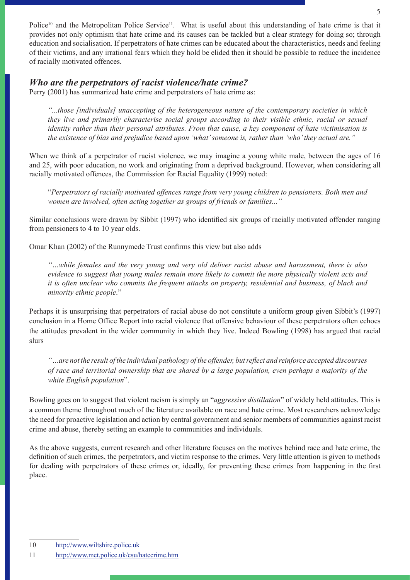Police<sup>10</sup> and the Metropolitan Police Service<sup>11</sup>. What is useful about this understanding of hate crime is that it provides not only optimism that hate crime and its causes can be tackled but a clear strategy for doing so; through education and socialisation. If perpetrators of hate crimes can be educated about the characteristics, needs and feeling of their victims, and any irrational fears which they hold be elided then it should be possible to reduce the incidence of racially motivated offences.

### *Who are the perpetrators of racist violence/hate crime?*

Perry (2001) has summarized hate crime and perpetrators of hate crime as:

*"...those [individuals] unaccepting of the heterogeneous nature of the contemporary societies in which they live and primarily characterise social groups according to their visible ethnic, racial or sexual identity rather than their personal attributes. From that cause, a key component of hate victimisation is the existence of bias and prejudice based upon 'what' someone is, rather than 'who' they actual are."*

When we think of a perpetrator of racist violence, we may imagine a young white male, between the ages of 16 and 25, with poor education, no work and originating from a deprived background. However, when considering all racially motivated offences, the Commission for Racial Equality (1999) noted:

"*Perpetrators of racially motivated offences range from very young children to pensioners. Both men and women are involved, often acting together as groups of friends or families..."*

Similar conclusions were drawn by Sibbit (1997) who identified six groups of racially motivated offender ranging from pensioners to 4 to 10 year olds.

Omar Khan (2002) of the Runnymede Trust confirms this view but also adds

*"…while females and the very young and very old deliver racist abuse and harassment, there is also evidence to suggest that young males remain more likely to commit the more physically violent acts and it is often unclear who commits the frequent attacks on property, residential and business, of black and minority ethnic people*."

Perhaps it is unsurprising that perpetrators of racial abuse do not constitute a uniform group given Sibbit's (1997) conclusion in a Home Office Report into racial violence that offensive behaviour of these perpetrators often echoes the attitudes prevalent in the wider community in which they live. Indeed Bowling (1998) has argued that racial slurs

*"…are not the result of the individual pathology of the offender, but reflect and reinforce accepted discourses of race and territorial ownership that are shared by a large population, even perhaps a majority of the white English population*".

Bowling goes on to suggest that violent racism is simply an "*aggressive distillation*" of widely held attitudes. This is a common theme throughout much of the literature available on race and hate crime. Most researchers acknowledge the need for proactive legislation and action by central government and senior members of communities against racist crime and abuse, thereby setting an example to communities and individuals.

As the above suggests, current research and other literature focuses on the motives behind race and hate crime, the definition of such crimes, the perpetrators, and victim response to the crimes. Very little attention is given to methods for dealing with perpetrators of these crimes or, ideally, for preventing these crimes from happening in the first place.

<sup>11</sup> http://www.met.police.uk/csu/hatecrime.htm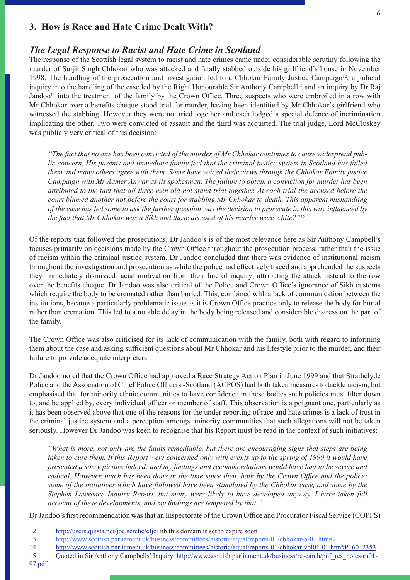### **3. How is Race and Hate Crime Dealt With?**

#### *The Legal Response to Racist and Hate Crime in Scotland*

The response of the Scottish legal system to racist and hate crimes came under considerable scrutiny following the murder of Surjit Singh Chhokar who was attacked and fatally stabbed outside his girlfriend's house in November 1998. The handling of the prosecution and investigation led to a Chhokar Family Justice Campaign<sup>12</sup>, a judicial inquiry into the handling of the case led by the Right Honourable Sir Anthony Campbell<sup>13</sup> and an inquiry by Dr Raj Jandoo<sup>14</sup> into the treatment of the family by the Crown Office. Three suspects who were embroiled in a row with Mr Chhokar over a benefits cheque stood trial for murder, having been identified by Mr Chhokar's girlfriend who witnessed the stabbing. However they were not tried together and each lodged a special defence of incrimination implicating the other. Two were convicted of assault and the third was acquitted. The trial judge, Lord McCluskey was publicly very critical of this decision:

*"The fact that no one has been convicted of the murder of Mr Chhokar continues to cause widespread public concern. His parents and immediate family feel that the criminal justice system in Scotland has failed them and many others agree with them. Some have voiced their views through the Chhokar Family justice Campaign with Mr Aamer Anwar as its spokesman. The failure to obtain a conviction for murder has been attributed to the fact that all three men did not stand trial together. At each trial the accused before the court blamed another not before the court for stabbing Mr Chhokar to death. This apparent mishandling of the case has led some to ask the further question was the decision to prosecute in this way influenced by the fact that Mr Chhokar was a Sikh and those accused of his murder were white?"15*

Of the reports that followed the prosecutions, Dr Jandoo's is of the most relevance here as Sir Anthony Campbell's focuses primarily on decisions made by the Crown Office throughout the prosecution process, rather than the issue of racism within the criminal justice system. Dr Jandoo concluded that there was evidence of institutional racism throughout the investigation and prosecution as while the police had effectively traced and apprehended the suspects they immediately dismissed racial motivation from their line of inquiry; attributing the attack instead to the row over the benefits cheque. Dr Jandoo was also critical of the Police and Crown Office's ignorance of Sikh customs which require the body to be cremated rather than buried. This, combined with a lack of communication between the institutions, became a particularly problematic issue as it is Crown Office practice only to release the body for burial rather than cremation. This led to a notable delay in the body being released and considerable distress on the part of the family.

The Crown Office was also criticised for its lack of communication with the family, both with regard to informing them about the case and asking sufficient questions about Mr Chhokar and his lifestyle prior to the murder, and their failure to provide adequate interpreters.

Dr Jandoo noted that the Crown Office had approved a Race Strategy Action Plan in June 1999 and that Strathclyde Police and the Association of Chief Police Officers -Scotland (ACPOS) had both taken measures to tackle racism, but emphasised that for minority ethnic communities to have confidence in these bodies such policies must filter down to, and be applied by, every individual officer or member of staff. This observation is a poignant one, particularly as it has been observed above that one of the reasons for the under reporting of race and hate crimes is a lack of trust in the criminal justice system and a perception amongst minority communities that such allegations will not be taken seriously. However Dr Jandoo was keen to recognise that his Report must be read in the context of such initiatives:

*"What is more, not only are the faults remediable, but there are encouraging signs that steps are being taken to cure them. If this Report were concerned only with events up to the spring of 1999 it would have presented a sorry picture indeed; and my findings and recommendations would have had to be severe and radical. However, much has been done in the time since then, both by the Crown Office and the police: some of the initiatives which have followed have been stimulated by the Chhokar case, and some by the Stephen Lawrence Inquiry Report, but many were likely to have developed anyway. I have taken full account of these developments, and my findings are tempered by that."*

Dr Jandoo's first recommendation was that an Inspectorate of the Crown Office and Procurator Fiscal Service (COPFS)

- 14 http://www.scottish.parliament.uk/business/committees/historic/equal/reports-01/chhokar-vol01-01.htm#P160\_2353
- 15 Quoted in Sir Anthony Campbells' Inquiry http://www.scottish.parliament.uk/business/research/pdf\_res\_notes/rn01-

97.pdf

<sup>12</sup> http://users.quista.net/joe.serche/cfjc/ nb this domain is set to expire soon

<sup>13</sup> http://www.scottish.parliament.uk/business/committees/historic/equal/reports-01/chhokar-b-01.htm#2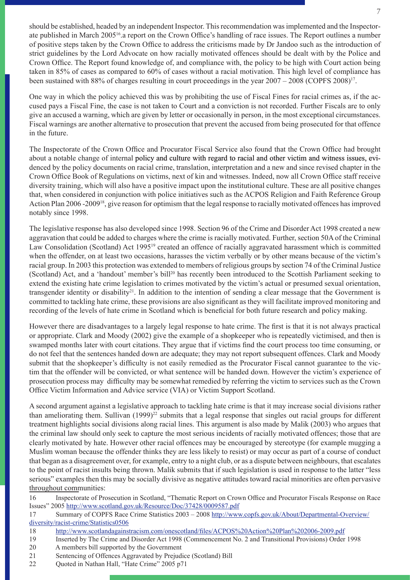should be established, headed by an independent Inspector. This recommendation was implemented and the Inspectorate published in March 200516.a report on the Crown Office's handling of race issues. The Report outlines a number of positive steps taken by the Crown Office to address the criticisms made by Dr Jandoo such as the introduction of strict guidelines by the Lord Advocate on how racially motivated offences should be dealt with by the Police and Crown Office. The Report found knowledge of, and compliance with, the policy to be high with Court action being taken in 85% of cases as compared to 60% of cases without a racial motivation. This high level of compliance has been sustained with 88% of charges resulting in court proceedings in the year 2007 – 2008 (COPFS 2008)17.

One way in which the policy achieved this was by prohibiting the use of Fiscal Fines for racial crimes as, if the accused pays a Fiscal Fine, the case is not taken to Court and a conviction is not recorded. Further Fiscals are to only give an accused a warning, which are given by letter or occasionally in person, in the most exceptional circumstances. Fiscal warnings are another alternative to prosecution that prevent the accused from being prosecuted for that offence in the future.

The Inspectorate of the Crown Office and Procurator Fiscal Service also found that the Crown Office had brought about a notable change of internal policy and culture with regard to racial and other victim and witness issues, evidenced by the policy documents on racial crime, translation, interpretation and a new and since revised chapter in the Crown Office Book of Regulations on victims, next of kin and witnesses. Indeed, now all Crown Office staff receive diversity training, which will also have a positive impact upon the institutional culture. These are all positive changes that, when considered in conjunction with police initiatives such as the ACPOS Religion and Faith Reference Group Action Plan 2006 -200918, give reason for optimism that the legal response to racially motivated offences has improved notably since 1998.

The legislative response has also developed since 1998. Section 96 of the Crime and Disorder Act 1998 created a new aggravation that could be added to charges where the crime is racially motivated. Further, section 50A of the Criminal Law Consolidation (Scotland) Act 199519 created an offence of racially aggravated harassment which is committed when the offender, on at least two occasions, harasses the victim verbally or by other means because of the victim's racial group. In 2003 this protection was extended to members of religious groups by section 74 of the Criminal Justice (Scotland) Act, and a 'handout' member's bill<sup>20</sup> has recently been introduced to the Scottish Parliament seeking to extend the existing hate crime legislation to crimes motivated by the victim's actual or presumed sexual orientation, transgender identity or disability<sup>21</sup>. In addition to the intention of sending a clear message that the Government is committed to tackling hate crime, these provisions are also significant as they will facilitate improved monitoring and recording of the levels of hate crime in Scotland which is beneficial for both future research and policy making.

However there are disadvantages to a largely legal response to hate crime. The first is that it is not always practical or appropriate. Clark and Moody (2002) give the example of a shopkeeper who is repeatedly victimised, and then is swamped months later with court citations. They argue that if victims find the court process too time consuming, or do not feel that the sentences handed down are adequate; they may not report subsequent offences. Clark and Moody submit that the shopkeeper's difficulty is not easily remedied as the Procurator Fiscal cannot guarantee to the victim that the offender will be convicted, or what sentence will be handed down. However the victim's experience of prosecution process may difficulty may be somewhat remedied by referring the victim to services such as the Crown Office Victim Information and Advice service (VIA) or Victim Support Scotland.

A second argument against a legislative approach to tackling hate crime is that it may increase social divisions rather than ameliorating them. Sullivan  $(1999)^{22}$  submits that a legal response that singles out racial groups for different treatment highlights social divisions along racial lines. This argument is also made by Malik (2003) who argues that the criminal law should only seek to capture the most serious incidents of racially motivated offences; those that are clearly motivated by hate. However other racial offences may be encouraged by stereotype (for example mugging a Muslim woman because the offender thinks they are less likely to resist) or may occur as part of a course of conduct that began as a disagreement over, for example, entry to a night club, or as a dispute between neighbours, that escalates to the point of racist insults being thrown. Malik submits that if such legislation is used in response to the latter "less serious" examples then this may be socially divisive as negative attitudes toward racial minorities are often pervasive throughout communities:

16 Inspectorate of Prosecution in Scotland, "Thematic Report on Crown Office and Procurator Fiscals Response on Race Issues" 2005 http://www.scotland.gov.uk/Resource/Doc/37428/0009587.pdf

17 Summary of COPFS Race Crime Statistics 2003 – 2008 http://www.copfs.gov.uk/About/Departmental-Overview/ diversity/racist-crime/Statistics0506

- 18 http://www.scotlandagainstracism.com/onescotland/files/ACPOS%20Action%20Plan%202006-2009.pdf
- 19 Inserted by The Crime and Disorder Act 1998 (Commencement No. 2 and Transitional Provisions) Order 1998
- 20 A members bill supported by the Government
- 21 Sentencing of Offences Aggravated by Prejudice (Scotland) Bill
- 22 Quoted in Nathan Hall, "Hate Crime" 2005 p71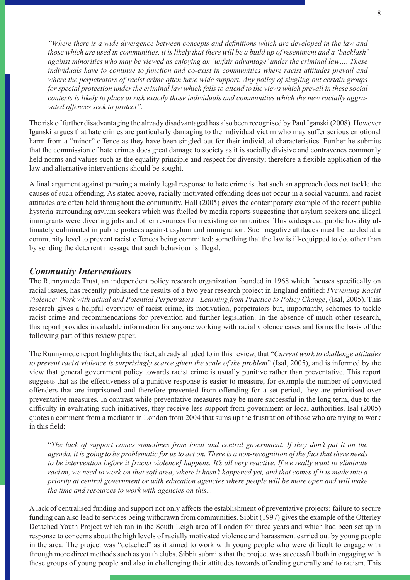*"Where there is a wide divergence between concepts and definitions which are developed in the law and those which are used in communities, it is likely that there will be a build up of resentment and a 'backlash' against minorities who may be viewed as enjoying an 'unfair advantage' under the criminal law…. These individuals have to continue to function and co-exist in communities where racist attitudes prevail and where the perpetrators of racist crime often have wide support. Any policy of singling out certain groups for special protection under the criminal law which fails to attend to the views which prevail in these social contexts is likely to place at risk exactly those individuals and communities which the new racially aggravated offences seek to protect".* 

The risk of further disadvantaging the already disadvantaged has also been recognised by Paul Iganski (2008). However Iganski argues that hate crimes are particularly damaging to the individual victim who may suffer serious emotional harm from a "minor" offence as they have been singled out for their individual characteristics. Further he submits that the commission of hate crimes does great damage to society as it is socially divisive and contravenes commonly held norms and values such as the equality principle and respect for diversity; therefore a flexible application of the law and alternative interventions should be sought.

A final argument against pursuing a mainly legal response to hate crime is that such an approach does not tackle the causes of such offending. As stated above, racially motivated offending does not occur in a social vacuum, and racist attitudes are often held throughout the community. Hall (2005) gives the contemporary example of the recent public hysteria surrounding asylum seekers which was fuelled by media reports suggesting that asylum seekers and illegal immigrants were diverting jobs and other resources from existing communities. This widespread public hostility ultimately culminated in public protests against asylum and immigration. Such negative attitudes must be tackled at a community level to prevent racist offences being committed; something that the law is ill-equipped to do, other than by sending the deterrent message that such behaviour is illegal.

#### *Community Interventions*

The Runnymede Trust, an independent policy research organization founded in 1968 which focuses specifically on racial issues, has recently published the results of a two year research project in England entitled: *Preventing Racist Violence: Work with actual and Potential Perpetrators - Learning from Practice to Policy Change*, (Isal, 2005). This research gives a helpful overview of racist crime, its motivation, perpetrators but, importantly, schemes to tackle racist crime and recommendations for prevention and further legislation. In the absence of much other research, this report provides invaluable information for anyone working with racial violence cases and forms the basis of the following part of this review paper.

The Runnymede report highlights the fact, already alluded to in this review, that "*Current work to challenge attitudes to prevent racist violence is surprisingly scarce given the scale of the problem*" (Isal, 2005), and is informed by the view that general government policy towards racist crime is usually punitive rather than preventative. This report suggests that as the effectiveness of a punitive response is easier to measure, for example the number of convicted offenders that are imprisoned and therefore prevented from offending for a set period, they are prioritised over preventative measures. In contrast while preventative measures may be more successful in the long term, due to the difficulty in evaluating such initiatives, they receive less support from government or local authorities. Isal (2005) quotes a comment from a mediator in London from 2004 that sums up the frustration of those who are trying to work in this field:

"*The lack of support comes sometimes from local and central government. If they don't put it on the agenda, it is going to be problematic for us to act on. There is a non-recognition of the fact that there needs to be intervention before it [racist violence] happens. It's all very reactive. If we really want to eliminate racism, we need to work on that soft area, where it hasn't happened yet, and that comes if it is made into a priority at central government or with education agencies where people will be more open and will make the time and resources to work with agencies on this..."*

A lack of centralised funding and support not only affects the establishment of preventative projects; failure to secure funding can also lead to services being withdrawn from communities. Sibbit (1997) gives the example of the Otterley Detached Youth Project which ran in the South Leigh area of London for three years and which had been set up in response to concerns about the high levels of racially motivated violence and harassment carried out by young people in the area. The project was "detached" as it aimed to work with young people who were difficult to engage with through more direct methods such as youth clubs. Sibbit submits that the project was successful both in engaging with these groups of young people and also in challenging their attitudes towards offending generally and to racism. This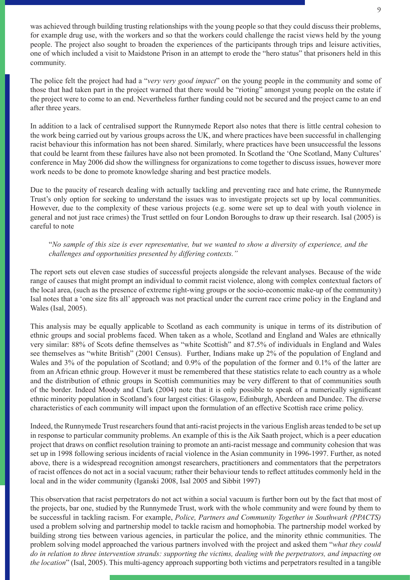was achieved through building trusting relationships with the young people so that they could discuss their problems, for example drug use, with the workers and so that the workers could challenge the racist views held by the young people. The project also sought to broaden the experiences of the participants through trips and leisure activities, one of which included a visit to Maidstone Prison in an attempt to erode the "hero status" that prisoners held in this community.

The police felt the project had had a "*very very good impact*" on the young people in the community and some of those that had taken part in the project warned that there would be "rioting" amongst young people on the estate if the project were to come to an end. Nevertheless further funding could not be secured and the project came to an end after three years.

In addition to a lack of centralised support the Runnymede Report also notes that there is little central cohesion to the work being carried out by various groups across the UK, and where practices have been successful in challenging racist behaviour this information has not been shared. Similarly, where practices have been unsuccessful the lessons that could be learnt from these failures have also not been promoted. In Scotland the 'One Scotland, Many Cultures' conference in May 2006 did show the willingness for organizations to come together to discuss issues, however more work needs to be done to promote knowledge sharing and best practice models.

Due to the paucity of research dealing with actually tackling and preventing race and hate crime, the Runnymede Trust's only option for seeking to understand the issues was to investigate projects set up by local communities. However, due to the complexity of these various projects (e.g. some were set up to deal with youth violence in general and not just race crimes) the Trust settled on four London Boroughs to draw up their research. Isal (2005) is careful to note

#### "*No sample of this size is ever representative, but we wanted to show a diversity of experience, and the challenges and opportunities presented by differing contexts."*

The report sets out eleven case studies of successful projects alongside the relevant analyses. Because of the wide range of causes that might prompt an individual to commit racist violence, along with complex contextual factors of the local area, (such as the presence of extreme right-wing groups or the socio-economic make-up of the community) Isal notes that a 'one size fits all' approach was not practical under the current race crime policy in the England and Wales (Isal, 2005).

This analysis may be equally applicable to Scotland as each community is unique in terms of its distribution of ethnic groups and social problems faced. When taken as a whole, Scotland and England and Wales are ethnically very similar: 88% of Scots define themselves as "white Scottish" and 87.5% of individuals in England and Wales see themselves as "white British" (2001 Census). Further, Indians make up 2% of the population of England and Wales and 3% of the population of Scotland; and 0.9% of the population of the former and 0.1% of the latter are from an African ethnic group. However it must be remembered that these statistics relate to each country as a whole and the distribution of ethnic groups in Scottish communities may be very different to that of communities south of the border. Indeed Moody and Clark (2004) note that it is only possible to speak of a numerically significant ethnic minority population in Scotland's four largest cities: Glasgow, Edinburgh, Aberdeen and Dundee. The diverse characteristics of each community will impact upon the formulation of an effective Scottish race crime policy.

Indeed, the Runnymede Trust researchers found that anti-racist projects in the various English areas tended to be set up in response to particular community problems. An example of this is the Aik Saath project, which is a peer education project that draws on conflict resolution training to promote an anti-racist message and community cohesion that was set up in 1998 following serious incidents of racial violence in the Asian community in 1996-1997. Further, as noted above, there is a widespread recognition amongst researchers, practitioners and commentators that the perpetrators of racist offences do not act in a social vacuum; rather their behaviour tends to reflect attitudes commonly held in the local and in the wider community (Iganski 2008, Isal 2005 and Sibbit 1997)

This observation that racist perpetrators do not act within a social vacuum is further born out by the fact that most of the projects, bar one, studied by the Runnymede Trust, work with the whole community and were found by them to be successful in tackling racism. For example, *Police, Partners and Community Together in Southwark (PPACTS)*  used a problem solving and partnership model to tackle racism and homophobia. The partnership model worked by building strong ties between various agencies, in particular the police, and the minority ethnic communities. The problem solving model approached the various partners involved with the project and asked them "*what they could do in relation to three intervention strands: supporting the victims, dealing with the perpetrators, and impacting on the location*" (Isal, 2005). This multi-agency approach supporting both victims and perpetrators resulted in a tangible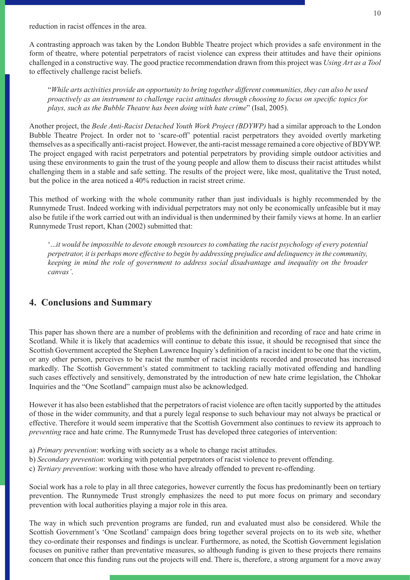reduction in racist offences in the area.

A contrasting approach was taken by the London Bubble Theatre project which provides a safe environment in the form of theatre, where potential perpetrators of racist violence can express their attitudes and have their opinions challenged in a constructive way. The good practice recommendation drawn from this project was *Using Art as a Tool*  to effectively challenge racist beliefs.

"*While arts activities provide an opportunity to bring together different communities, they can also be used proactively as an instrument to challenge racist attitudes through choosing to focus on specific topics for plays, such as the Bubble Theatre has been doing with hate crime*" (Isal, 2005).

Another project, the *Bede Anti-Racist Detached Youth Work Project (BDYWP)* had a similar approach to the London Bubble Theatre Project. In order not to 'scare-off' potential racist perpetrators they avoided overtly marketing themselves as a specifically anti-racist project. However, the anti-racist message remained a core objective of BDYWP. The project engaged with racist perpetrators and potential perpetrators by providing simple outdoor activities and using these environments to gain the trust of the young people and allow them to discuss their racist attitudes whilst challenging them in a stable and safe setting. The results of the project were, like most, qualitative the Trust noted, but the police in the area noticed a 40% reduction in racist street crime.

This method of working with the whole community rather than just individuals is highly recommended by the Runnymede Trust. Indeed working with individual perpetrators may not only be economically unfeasible but it may also be futile if the work carried out with an individual is then undermined by their family views at home. In an earlier Runnymede Trust report, Khan (2002) submitted that:

'...*it would be impossible to devote enough resources to combating the racist psychology of every potential perpetrator, it is perhaps more effective to begin by addressing prejudice and delinquency in the community, keeping in mind the role of government to address social disadvantage and inequality on the broader canvas'*.

### **4. Conclusions and Summary**

This paper has shown there are a number of problems with the defininition and recording of race and hate crime in Scotland. While it is likely that academics will continue to debate this issue, it should be recognised that since the Scottish Government accepted the Stephen Lawrence Inquiry's definition of a racist incident to be one that the victim, or any other person, perceives to be racist the number of racist incidents recorded and prosecuted has increased markedly. The Scottish Government's stated commitment to tackling racially motivated offending and handling such cases effectively and sensitively, demonstrated by the introduction of new hate crime legislation, the Chhokar Inquiries and the "One Scotland" campaign must also be acknowledged.

However it has also been established that the perpetrators of racist violence are often tacitly supported by the attitudes of those in the wider community, and that a purely legal response to such behaviour may not always be practical or effective. Therefore it would seem imperative that the Scottish Government also continues to review its approach to *preventing* race and hate crime. The Runnymede Trust has developed three categories of intervention:

- a) *Primary prevention*: working with society as a whole to change racist attitudes.
- b) *Secondary prevention*: working with potential perpetrators of racist violence to prevent offending.
- c) *Tertiary prevention*: working with those who have already offended to prevent re-offending.

Social work has a role to play in all three categories, however currently the focus has predominantly been on tertiary prevention. The Runnymede Trust strongly emphasizes the need to put more focus on primary and secondary prevention with local authorities playing a major role in this area.

The way in which such prevention programs are funded, run and evaluated must also be considered. While the Scottish Government's 'One Scotland' campaign does bring together several projects on to its web site, whether they co-ordinate their responses and findings is unclear. Furthermore, as noted, the Scottish Government legislation focuses on punitive rather than preventative measures, so although funding is given to these projects there remains concern that once this funding runs out the projects will end. There is, therefore, a strong argument for a move away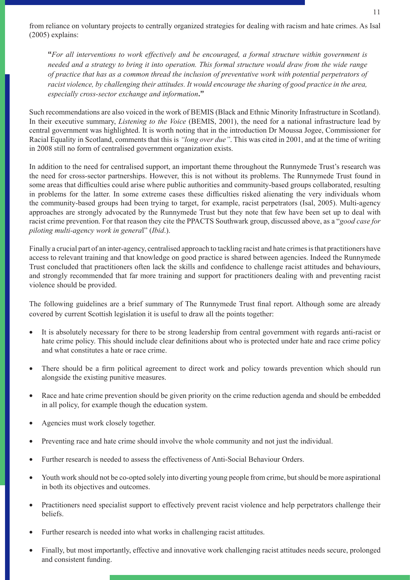from reliance on voluntary projects to centrally organized strategies for dealing with racism and hate crimes. As Isal (2005) explains:

**"***For all interventions to work effectively and be encouraged, a formal structure within government is needed and a strategy to bring it into operation. This formal structure would draw from the wide range of practice that has as a common thread the inclusion of preventative work with potential perpetrators of racist violence, by challenging their attitudes. It would encourage the sharing of good practice in the area, especially cross-sector exchange and information***."**

Such recommendations are also voiced in the work of BEMIS (Black and Ethnic Minority Infrastructure in Scotland). In their executive summary, *Listening to the Voice* (BEMIS, 2001), the need for a national infrastructure lead by central government was highlighted. It is worth noting that in the introduction Dr Moussa Jogee, Commissioner for Racial Equality in Scotland, comments that this is *"long over due"*. This was cited in 2001, and at the time of writing in 2008 still no form of centralised government organization exists.

In addition to the need for centralised support, an important theme throughout the Runnymede Trust's research was the need for cross-sector partnerships. However, this is not without its problems. The Runnymede Trust found in some areas that difficulties could arise where public authorities and community-based groups collaborated, resulting in problems for the latter. In some extreme cases these difficulties risked alienating the very individuals whom the community-based groups had been trying to target, for example, racist perpetrators (Isal, 2005). Multi-agency approaches are strongly advocated by the Runnymede Trust but they note that few have been set up to deal with racist crime prevention. For that reason they cite the PPACTS Southwark group, discussed above, as a "*good case for piloting multi-agency work in genera*l" (*Ibid*.).

Finally a crucial part of an inter-agency, centralised approach to tackling racist and hate crimes is that practitioners have access to relevant training and that knowledge on good practice is shared between agencies. Indeed the Runnymede Trust concluded that practitioners often lack the skills and confidence to challenge racist attitudes and behaviours, and strongly recommended that far more training and support for practitioners dealing with and preventing racist violence should be provided.

The following guidelines are a brief summary of The Runnymede Trust final report. Although some are already covered by current Scottish legislation it is useful to draw all the points together:

- It is absolutely necessary for there to be strong leadership from central government with regards anti-racist or hate crime policy. This should include clear definitions about who is protected under hate and race crime policy and what constitutes a hate or race crime.
- There should be a firm political agreement to direct work and policy towards prevention which should run alongside the existing punitive measures.
- Race and hate crime prevention should be given priority on the crime reduction agenda and should be embedded in all policy, for example though the education system.
- Agencies must work closely together.
- Preventing race and hate crime should involve the whole community and not just the individual.
- Further research is needed to assess the effectiveness of Anti-Social Behaviour Orders.
- Youth work should not be co-opted solely into diverting young people from crime, but should be more aspirational in both its objectives and outcomes.
- Practitioners need specialist support to effectively prevent racist violence and help perpetrators challenge their beliefs.
- Further research is needed into what works in challenging racist attitudes.
- Finally, but most importantly, effective and innovative work challenging racist attitudes needs secure, prolonged and consistent funding.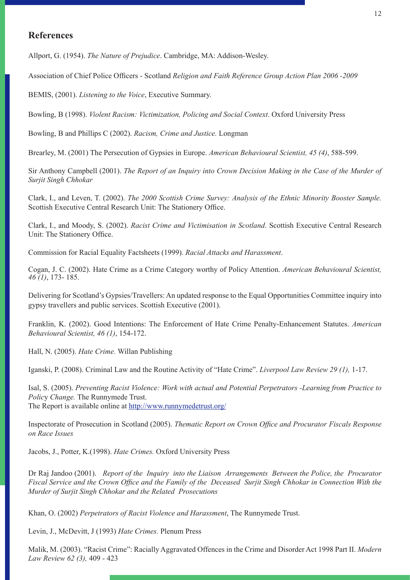### **References**

Allport, G. (1954). *The Nature of Prejudice*. Cambridge, MA: Addison-Wesley.

Association of Chief Police Officers - Scotland *Religion and Faith Reference Group Action Plan 2006 -2009*

BEMIS, (2001). *Listening to the Voice*, Executive Summary.

Bowling, B (1998). *Violent Racism: Victimization, Policing and Social Context*. Oxford University Press

Bowling, B and Phillips C (2002). *Racism, Crime and Justice.* Longman

Brearley, M. (2001) The Persecution of Gypsies in Europe. *American Behavioural Scientist, 45 (4)*, 588-599.

Sir Anthony Campbell (2001). *The Report of an Inquiry into Crown Decision Making in the Case of the Murder of Surjit Singh Chhokar* 

Clark, I., and Leven, T. (2002). *The 2000 Scottish Crime Survey: Analysis of the Ethnic Minority Booster Sample.* Scottish Executive Central Research Unit: The Stationery Office.

Clark, I., and Moody, S. (2002). *Racist Crime and Victimisation in Scotland*. Scottish Executive Central Research Unit: The Stationery Office.

Commission for Racial Equality Factsheets (1999). *Racial Attacks and Harassment*.

Cogan, J. C. (2002). Hate Crime as a Crime Category worthy of Policy Attention. *American Behavioural Scientist, 46 (1)*, 173- 185.

Delivering for Scotland's Gypsies/Travellers: An updated response to the Equal Opportunities Committee inquiry into gypsy travellers and public services. Scottish Executive (2001).

Franklin, K. (2002). Good Intentions: The Enforcement of Hate Crime Penalty-Enhancement Statutes. *American Behavioural Scientist, 46 (1)*, 154-172.

Hall, N. (2005). *Hate Crime.* Willan Publishing

Iganski, P. (2008). Criminal Law and the Routine Activity of "Hate Crime". *Liverpool Law Review 29 (1),* 1-17.

Isal, S. (2005). *Preventing Racist Violence: Work with actual and Potential Perpetrators -Learning from Practice to Polic*y *Change.* The Runnymede Trust. The Report is available online at http://www.runnymedetrust.org/

Inspectorate of Prosecution in Scotland (2005). *Thematic Report on Crown Office and Procurator Fiscals Response on Race Issues*

Jacobs, J., Potter, K.(1998). *Hate Crimes.* Oxford University Press

Dr Raj Jandoo (2001). *Report of the Inquiry into the Liaison Arrangements Between the Police, the Procurator Fiscal Service and the Crown Office and the Family of the Deceased Surjit Singh Chhokar in Connection With the Murder of Surjit Singh Chhokar and the Related Prosecutions*

Khan, O. (2002) *Perpetrators of Racist Violence and Harassment*, The Runnymede Trust.

Levin, J., McDevitt, J (1993) *Hate Crimes.* Plenum Press

Malik, M. (2003). "Racist Crime": Racially Aggravated Offences in the Crime and Disorder Act 1998 Part II. *Modern Law Review 62 (3),* 409 - 423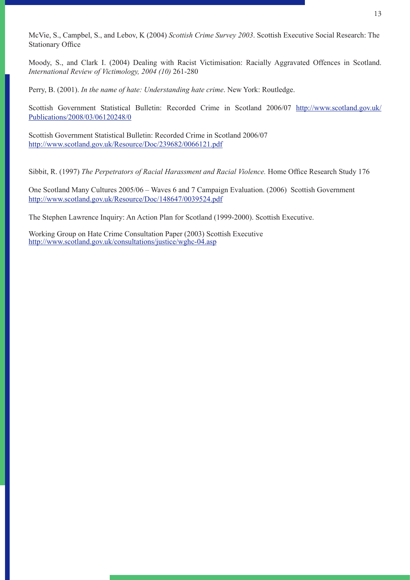McVie, S., Campbel, S., and Lebov, K (2004) *Scottish Crime Survey 2003*. Scottish Executive Social Research: The Stationary Office

Moody, S., and Clark I. (2004) Dealing with Racist Victimisation: Racially Aggravated Offences in Scotland. *International Review of Victimology, 2004 (10)* 261-280

Perry, B. (2001). *In the name of hate: Understanding hate crime*. New York: Routledge.

Scottish Government Statistical Bulletin: Recorded Crime in Scotland 2006/07 http://www.scotland.gov.uk/ Publications/2008/03/06120248/0

Scottish Government Statistical Bulletin: Recorded Crime in Scotland 2006/07 http://www.scotland.gov.uk/Resource/Doc/239682/0066121.pdf

Sibbit, R. (1997) *The Perpetrators of Racial Harassment and Racial Violence.* Home Office Research Study 176

One Scotland Many Cultures 2005/06 – Waves 6 and 7 Campaign Evaluation. (2006) Scottish Government http://www.scotland.gov.uk/Resource/Doc/148647/0039524.pdf

The Stephen Lawrence Inquiry: An Action Plan for Scotland (1999-2000). Scottish Executive.

Working Group on Hate Crime Consultation Paper (2003) Scottish Executive http://www.scotland.gov.uk/consultations/justice/wghc-04.asp